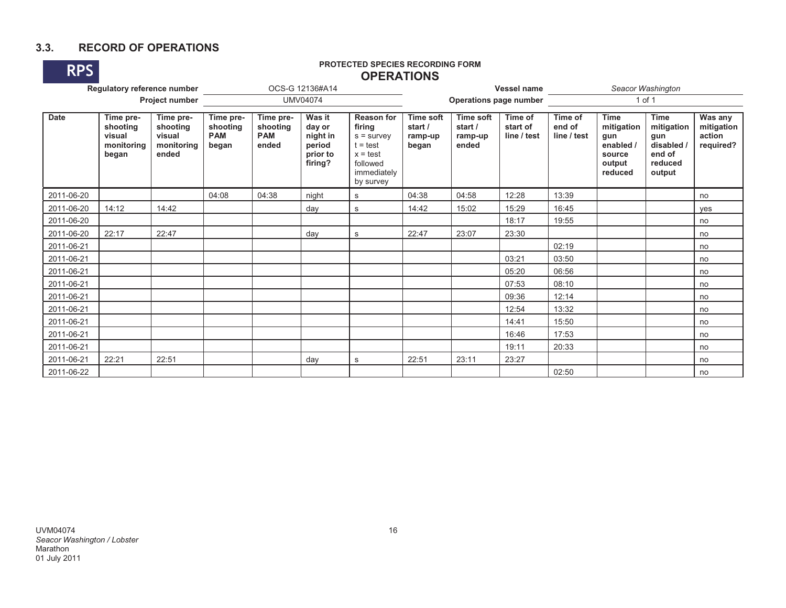# **3.3. RECORD OF OPERATIONS**



# **RPS PROTECTED SPECIES RECORDING FORM OPERATIONSOPERATIONS**

| Regulatory reference number<br>Project number |                                                        |                                                        |                                              |                                              | OCS-G 12136#A14                                               |                                                                                                                 | <b>Vessel name</b>                              |                                                 |                                    | Seacor Washington                |                                                                              |                                                                               |                                              |
|-----------------------------------------------|--------------------------------------------------------|--------------------------------------------------------|----------------------------------------------|----------------------------------------------|---------------------------------------------------------------|-----------------------------------------------------------------------------------------------------------------|-------------------------------------------------|-------------------------------------------------|------------------------------------|----------------------------------|------------------------------------------------------------------------------|-------------------------------------------------------------------------------|----------------------------------------------|
|                                               |                                                        |                                                        | <b>UMV04074</b>                              |                                              |                                                               |                                                                                                                 | <b>Operations page number</b>                   |                                                 |                                    | $1$ of $1$                       |                                                                              |                                                                               |                                              |
| <b>Date</b>                                   | Time pre-<br>shooting<br>visual<br>monitoring<br>began | Time pre-<br>shooting<br>visual<br>monitoring<br>ended | Time pre-<br>shooting<br><b>PAM</b><br>began | Time pre-<br>shooting<br><b>PAM</b><br>ended | Was it<br>day or<br>night in<br>period<br>prior to<br>firing? | <b>Reason for</b><br>firing<br>$s =$ survey<br>$t = test$<br>$x = test$<br>followed<br>immediately<br>by survey | <b>Time soft</b><br>start /<br>ramp-up<br>began | <b>Time soft</b><br>start /<br>ramp-up<br>ended | Time of<br>start of<br>line / test | Time of<br>end of<br>line / test | <b>Time</b><br>mitigation<br>gun<br>enabled /<br>source<br>output<br>reduced | <b>Time</b><br>mitigation<br>gun<br>disabled /<br>end of<br>reduced<br>output | Was any<br>mitigation<br>action<br>required? |
| 2011-06-20                                    |                                                        |                                                        | 04:08                                        | 04:38                                        | night                                                         | $\mathbf s$                                                                                                     | 04:38                                           | 04:58                                           | 12:28                              | 13:39                            |                                                                              |                                                                               | no                                           |
| 2011-06-20                                    | 14:12                                                  | 14:42                                                  |                                              |                                              | day                                                           | s                                                                                                               | 14:42                                           | 15:02                                           | 15:29                              | 16:45                            |                                                                              |                                                                               | yes                                          |
| 2011-06-20                                    |                                                        |                                                        |                                              |                                              |                                                               |                                                                                                                 |                                                 |                                                 | 18:17                              | 19:55                            |                                                                              |                                                                               | no                                           |
| 2011-06-20                                    | 22:17                                                  | 22:47                                                  |                                              |                                              | day                                                           | s                                                                                                               | 22:47                                           | 23:07                                           | 23:30                              |                                  |                                                                              |                                                                               | no                                           |
| 2011-06-21                                    |                                                        |                                                        |                                              |                                              |                                                               |                                                                                                                 |                                                 |                                                 |                                    | 02:19                            |                                                                              |                                                                               | no                                           |
| 2011-06-21                                    |                                                        |                                                        |                                              |                                              |                                                               |                                                                                                                 |                                                 |                                                 | 03:21                              | 03:50                            |                                                                              |                                                                               | no                                           |
| 2011-06-21                                    |                                                        |                                                        |                                              |                                              |                                                               |                                                                                                                 |                                                 |                                                 | 05:20                              | 06:56                            |                                                                              |                                                                               | no                                           |
| 2011-06-21                                    |                                                        |                                                        |                                              |                                              |                                                               |                                                                                                                 |                                                 |                                                 | 07:53                              | 08:10                            |                                                                              |                                                                               | no                                           |
| 2011-06-21                                    |                                                        |                                                        |                                              |                                              |                                                               |                                                                                                                 |                                                 |                                                 | 09:36                              | 12:14                            |                                                                              |                                                                               | no                                           |
| 2011-06-21                                    |                                                        |                                                        |                                              |                                              |                                                               |                                                                                                                 |                                                 |                                                 | 12:54                              | 13:32                            |                                                                              |                                                                               | no                                           |
| 2011-06-21                                    |                                                        |                                                        |                                              |                                              |                                                               |                                                                                                                 |                                                 |                                                 | 14:41                              | 15:50                            |                                                                              |                                                                               | no                                           |
| 2011-06-21                                    |                                                        |                                                        |                                              |                                              |                                                               |                                                                                                                 |                                                 |                                                 | 16:46                              | 17:53                            |                                                                              |                                                                               | no                                           |
| 2011-06-21                                    |                                                        |                                                        |                                              |                                              |                                                               |                                                                                                                 |                                                 |                                                 | 19:11                              | 20:33                            |                                                                              |                                                                               | no                                           |
| 2011-06-21                                    | 22:21                                                  | 22:51                                                  |                                              |                                              | day                                                           | s                                                                                                               | 22:51                                           | 23:11                                           | 23:27                              |                                  |                                                                              |                                                                               | no                                           |
| 2011-06-22                                    |                                                        |                                                        |                                              |                                              |                                                               |                                                                                                                 |                                                 |                                                 |                                    | 02:50                            |                                                                              |                                                                               | no                                           |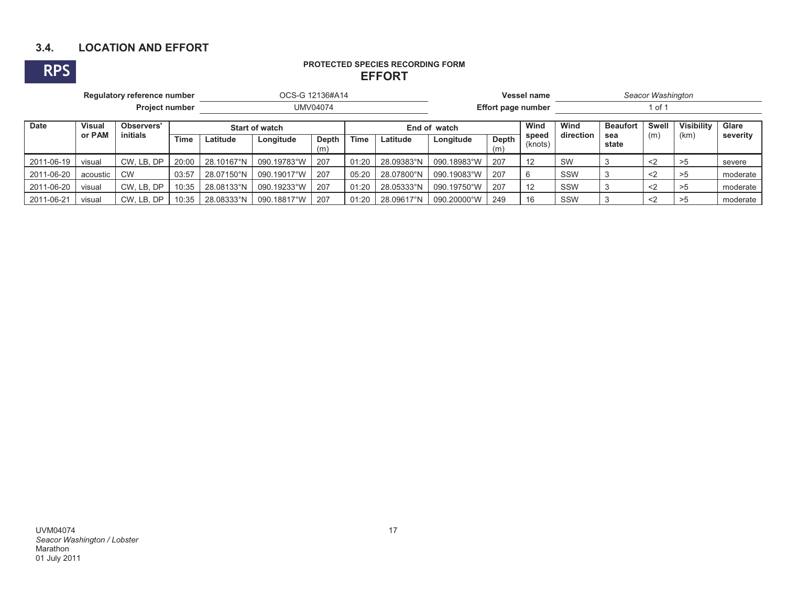# **3.4. LOCATION AND EFFORT**

#### **RPS PROTECTED SPECIES RECORDING FORM EFFORTEFFORT**

| Regulatory reference number |                             |            |       | OCS-G 12136#A14       |             |                     |              |            | <b>Vessel name</b> |                           |                  | Seacor Washington |              |                   |       |          |  |
|-----------------------------|-----------------------------|------------|-------|-----------------------|-------------|---------------------|--------------|------------|--------------------|---------------------------|------------------|-------------------|--------------|-------------------|-------|----------|--|
|                             | <b>Project number</b>       |            |       |                       | UMV04074    |                     |              |            |                    | <b>Effort page number</b> |                  |                   | of 1         |                   |       |          |  |
| <b>Date</b>                 | <b>Visual</b><br>Observers' |            |       | <b>Start of watch</b> |             |                     | End of watch |            |                    | Wind                      | Wind             | <b>Beaufort</b>   | Swell        | <b>Visibility</b> | Glare |          |  |
|                             | or PAM                      | initials   | Time  | Latitude              | Longitude   | <b>Depth</b><br>(m) | <b>Time</b>  | Latitude   | Longitude          | Depth<br>(m)              | speed<br>(knots) | direction         | sea<br>state | (m)               | (km)  | severity |  |
| 2011-06-19                  | visual                      | CW, LB, DP | 20:00 | 28.10167°N            | 090.19783°W | 207                 | 01:20        | 28.09383°N | 090.18983°W        | 207                       | 12               | <b>SW</b>         |              | $\langle$         |       | severe   |  |
| 2011-06-20                  | acoustic                    | <b>CW</b>  | 03:57 | 28.07150°N            | 090.19017°W | 207                 | 05:20        | 28.07800°N | 090.19083°W        | 207                       |                  | SSW               |              | $<$ 2             |       | moderate |  |
| 2011-06-20                  | visual                      | CW, LB, DP | 10:35 | 28.08133°N            | 090.19233°W | 207                 | 01:20        | 28.05333°N | 090.19750°W        | 207                       | 12               | SSW               |              | $<$ 2             | >5    | moderate |  |
| 2011-06-21                  | visual                      | CW. LB. DP | 10:35 | 28.08333°N            | 090.18817°W | 207                 | 01:20        | 28.09617°N | 090.20000°W        | 249                       | 16               | SSW               |              | $\langle 2$       |       | moderate |  |

UVM04074 *Seacor Washington / Lobster*  Marathon 01 July 2011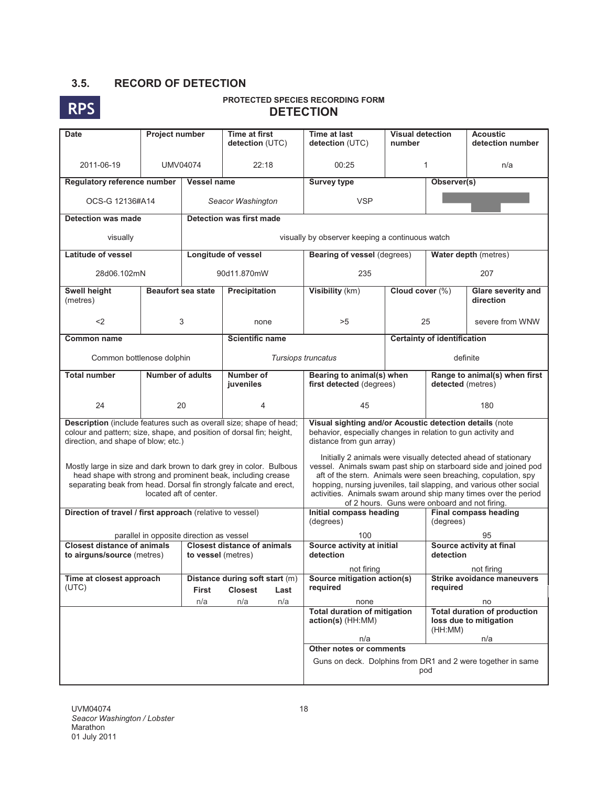# **3.5. RECORD OF DETECTION**



| <b>Date</b>                                                                                                 | Project number                           |                        | <b>Time at first</b><br>detection (UTC)                                                                                                                                                                | Time at last<br>detection (UTC)                                                                                                                                                                                                                                                                                                                                                                | <b>Visual detection</b><br>number |                                                    | <b>Acoustic</b><br>detection number                                                                                                                                                                                                                |  |  |
|-------------------------------------------------------------------------------------------------------------|------------------------------------------|------------------------|--------------------------------------------------------------------------------------------------------------------------------------------------------------------------------------------------------|------------------------------------------------------------------------------------------------------------------------------------------------------------------------------------------------------------------------------------------------------------------------------------------------------------------------------------------------------------------------------------------------|-----------------------------------|----------------------------------------------------|----------------------------------------------------------------------------------------------------------------------------------------------------------------------------------------------------------------------------------------------------|--|--|
| 2011-06-19                                                                                                  | <b>UMV04074</b>                          |                        | 22:18                                                                                                                                                                                                  | 00:25                                                                                                                                                                                                                                                                                                                                                                                          |                                   | 1                                                  | n/a                                                                                                                                                                                                                                                |  |  |
| Regulatory reference number                                                                                 |                                          | Vessel name            |                                                                                                                                                                                                        | <b>Survey type</b>                                                                                                                                                                                                                                                                                                                                                                             | Observer(s)                       |                                                    |                                                                                                                                                                                                                                                    |  |  |
| OCS-G 12136#A14                                                                                             |                                          |                        | Seacor Washington                                                                                                                                                                                      | <b>VSP</b>                                                                                                                                                                                                                                                                                                                                                                                     |                                   |                                                    |                                                                                                                                                                                                                                                    |  |  |
| <b>Detection was made</b>                                                                                   |                                          |                        | <b>Detection was first made</b>                                                                                                                                                                        |                                                                                                                                                                                                                                                                                                                                                                                                |                                   |                                                    |                                                                                                                                                                                                                                                    |  |  |
| visually                                                                                                    |                                          |                        |                                                                                                                                                                                                        | visually by observer keeping a continuous watch                                                                                                                                                                                                                                                                                                                                                |                                   |                                                    |                                                                                                                                                                                                                                                    |  |  |
| Latitude of vessel                                                                                          |                                          |                        | <b>Longitude of vessel</b>                                                                                                                                                                             | <b>Bearing of vessel (degrees)</b>                                                                                                                                                                                                                                                                                                                                                             |                                   |                                                    |                                                                                                                                                                                                                                                    |  |  |
| 28d06.102mN                                                                                                 |                                          |                        | 90d11.870mW                                                                                                                                                                                            | 235                                                                                                                                                                                                                                                                                                                                                                                            |                                   |                                                    | Water depth (metres)<br>207<br><b>Glare severity and</b><br>direction<br>severe from WNW<br><b>Certainty of identification</b><br>definite<br>180<br>95<br>Source activity at final<br>not firing<br><b>Strike avoidance maneuvers</b><br>required |  |  |
| Swell height<br>(metres)                                                                                    | <b>Beaufort sea state</b>                |                        | Precipitation                                                                                                                                                                                          | Visibility (km)                                                                                                                                                                                                                                                                                                                                                                                | Cloud cover (%)                   |                                                    |                                                                                                                                                                                                                                                    |  |  |
| $<$ 2                                                                                                       |                                          | 3                      | none                                                                                                                                                                                                   | >5                                                                                                                                                                                                                                                                                                                                                                                             |                                   | 25                                                 |                                                                                                                                                                                                                                                    |  |  |
| Common name                                                                                                 |                                          |                        | <b>Scientific name</b>                                                                                                                                                                                 |                                                                                                                                                                                                                                                                                                                                                                                                |                                   |                                                    |                                                                                                                                                                                                                                                    |  |  |
| Common bottlenose dolphin                                                                                   |                                          |                        | Tursiops truncatus                                                                                                                                                                                     |                                                                                                                                                                                                                                                                                                                                                                                                |                                   |                                                    |                                                                                                                                                                                                                                                    |  |  |
| <b>Total number</b>                                                                                         | <b>Number of adults</b>                  |                        | Number of<br>juveniles                                                                                                                                                                                 | Bearing to animal(s) when<br>first detected (degrees)                                                                                                                                                                                                                                                                                                                                          |                                   | Range to animal(s) when first<br>detected (metres) |                                                                                                                                                                                                                                                    |  |  |
| 24                                                                                                          |                                          | 20                     | $\overline{4}$                                                                                                                                                                                         | 45                                                                                                                                                                                                                                                                                                                                                                                             |                                   |                                                    |                                                                                                                                                                                                                                                    |  |  |
| colour and pattern; size, shape, and position of dorsal fin; height,<br>direction, and shape of blow; etc.) |                                          |                        | Description (include features such as overall size; shape of head;                                                                                                                                     | Visual sighting and/or Acoustic detection details (note<br>behavior, especially changes in relation to gun activity and<br>distance from gun array)                                                                                                                                                                                                                                            |                                   |                                                    |                                                                                                                                                                                                                                                    |  |  |
|                                                                                                             |                                          | located aft of center. | Mostly large in size and dark brown to dark grey in color. Bulbous<br>head shape with strong and prominent beak, including crease<br>separating beak from head. Dorsal fin strongly falcate and erect, | Initially 2 animals were visually detected ahead of stationary<br>vessel. Animals swam past ship on starboard side and joined pod<br>aft of the stern. Animals were seen breaching, copulation, spy<br>hopping, nursing juveniles, tail slapping, and various other social<br>activities. Animals swam around ship many times over the period<br>of 2 hours. Guns were onboard and not firing. |                                   |                                                    |                                                                                                                                                                                                                                                    |  |  |
| Direction of travel / first approach (relative to vessel)                                                   |                                          |                        |                                                                                                                                                                                                        | Initial compass heading<br>(degrees)                                                                                                                                                                                                                                                                                                                                                           |                                   | <b>Final compass heading</b><br>(degrees)          |                                                                                                                                                                                                                                                    |  |  |
|                                                                                                             | parallel in opposite direction as vessel |                        |                                                                                                                                                                                                        | 100                                                                                                                                                                                                                                                                                                                                                                                            |                                   |                                                    |                                                                                                                                                                                                                                                    |  |  |
| <b>Closest distance of animals</b><br>to airguns/source (metres)                                            |                                          | to vessel (metres)     | <b>Closest distance of animals</b>                                                                                                                                                                     | Source activity at initial<br>detection                                                                                                                                                                                                                                                                                                                                                        |                                   | detection                                          |                                                                                                                                                                                                                                                    |  |  |
|                                                                                                             |                                          |                        |                                                                                                                                                                                                        | not firing                                                                                                                                                                                                                                                                                                                                                                                     |                                   |                                                    |                                                                                                                                                                                                                                                    |  |  |
| Time at closest approach<br>(UTC)                                                                           |                                          |                        | Distance during soft start (m)<br><b>Closest</b>                                                                                                                                                       | Source mitigation action(s)<br>reauired                                                                                                                                                                                                                                                                                                                                                        |                                   |                                                    |                                                                                                                                                                                                                                                    |  |  |
|                                                                                                             |                                          | First<br>n/a           | Last<br>n/a<br>n/a                                                                                                                                                                                     | none                                                                                                                                                                                                                                                                                                                                                                                           |                                   |                                                    | no                                                                                                                                                                                                                                                 |  |  |
|                                                                                                             |                                          |                        |                                                                                                                                                                                                        | <b>Total duration of mitigation</b><br>action(s) (HH:MM)                                                                                                                                                                                                                                                                                                                                       |                                   | (HH:MM)                                            | <b>Total duration of production</b><br>loss due to mitigation                                                                                                                                                                                      |  |  |
|                                                                                                             |                                          |                        |                                                                                                                                                                                                        | n/a                                                                                                                                                                                                                                                                                                                                                                                            |                                   |                                                    | n/a                                                                                                                                                                                                                                                |  |  |
|                                                                                                             |                                          |                        |                                                                                                                                                                                                        | Other notes or comments<br>Guns on deck. Dolphins from DR1 and 2 were together in same<br>pod                                                                                                                                                                                                                                                                                                  |                                   |                                                    |                                                                                                                                                                                                                                                    |  |  |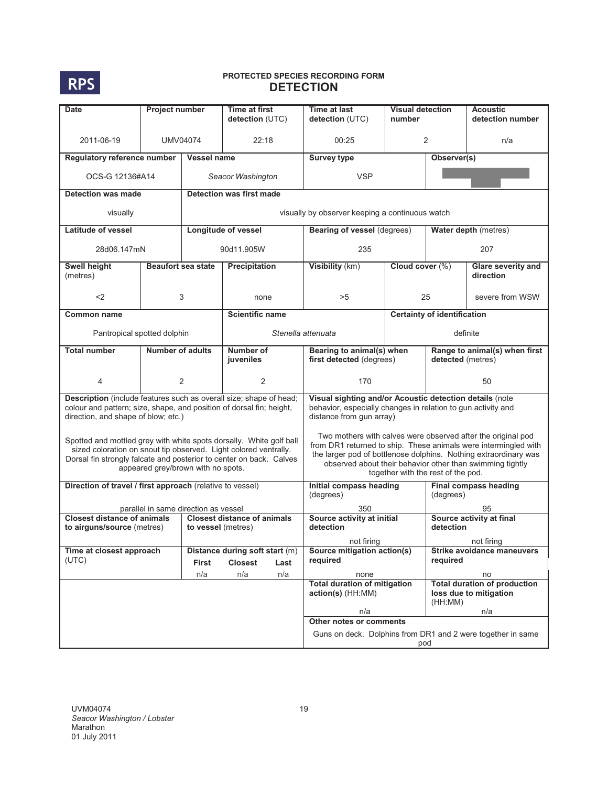

| <b>Date</b>                                                                                                                                                                       | Project number            |                                      | Time at first                                                    | Time at last                                                                                                                                        | <b>Visual detection</b>                                                                                                                                                                                                                                                                                |                                                    | <b>Acoustic</b>                                               |  |  |  |
|-----------------------------------------------------------------------------------------------------------------------------------------------------------------------------------|---------------------------|--------------------------------------|------------------------------------------------------------------|-----------------------------------------------------------------------------------------------------------------------------------------------------|--------------------------------------------------------------------------------------------------------------------------------------------------------------------------------------------------------------------------------------------------------------------------------------------------------|----------------------------------------------------|---------------------------------------------------------------|--|--|--|
|                                                                                                                                                                                   |                           |                                      | detection (UTC)                                                  | detection (UTC)                                                                                                                                     | number                                                                                                                                                                                                                                                                                                 |                                                    | detection number                                              |  |  |  |
| 2011-06-19                                                                                                                                                                        | <b>UMV04074</b>           |                                      | 22:18                                                            | 00:25                                                                                                                                               |                                                                                                                                                                                                                                                                                                        | $\overline{2}$                                     | n/a                                                           |  |  |  |
| Regulatory reference number                                                                                                                                                       |                           | <b>Vessel name</b>                   |                                                                  | <b>Survey type</b>                                                                                                                                  |                                                                                                                                                                                                                                                                                                        | Observer(s)                                        |                                                               |  |  |  |
| OCS-G 12136#A14                                                                                                                                                                   |                           |                                      | Seacor Washington                                                | <b>VSP</b>                                                                                                                                          |                                                                                                                                                                                                                                                                                                        |                                                    |                                                               |  |  |  |
| <b>Detection was made</b>                                                                                                                                                         |                           |                                      | <b>Detection was first made</b>                                  |                                                                                                                                                     |                                                                                                                                                                                                                                                                                                        |                                                    |                                                               |  |  |  |
| visually                                                                                                                                                                          |                           |                                      |                                                                  | visually by observer keeping a continuous watch                                                                                                     |                                                                                                                                                                                                                                                                                                        |                                                    |                                                               |  |  |  |
| Latitude of vessel                                                                                                                                                                |                           |                                      | Longitude of vessel                                              |                                                                                                                                                     | Water depth (metres)<br>Bearing of vessel (degrees)                                                                                                                                                                                                                                                    |                                                    |                                                               |  |  |  |
| 28d06.147mN                                                                                                                                                                       |                           |                                      | 90d11.905W                                                       | 235                                                                                                                                                 |                                                                                                                                                                                                                                                                                                        | 207                                                |                                                               |  |  |  |
| Swell height<br>(metres)                                                                                                                                                          | <b>Beaufort sea state</b> |                                      | Precipitation                                                    | Visibility (km)                                                                                                                                     | Cloud cover (%)                                                                                                                                                                                                                                                                                        |                                                    | Glare severity and<br>direction                               |  |  |  |
| $2$                                                                                                                                                                               |                           | 3                                    | none                                                             | >5                                                                                                                                                  |                                                                                                                                                                                                                                                                                                        | 25                                                 | severe from WSW                                               |  |  |  |
| <b>Common name</b>                                                                                                                                                                |                           |                                      | <b>Scientific name</b>                                           |                                                                                                                                                     |                                                                                                                                                                                                                                                                                                        | <b>Certainty of identification</b>                 |                                                               |  |  |  |
| Pantropical spotted dolphin                                                                                                                                                       |                           |                                      |                                                                  | Stenella attenuata                                                                                                                                  |                                                                                                                                                                                                                                                                                                        |                                                    | definite                                                      |  |  |  |
| <b>Total number</b>                                                                                                                                                               | Number of adults          |                                      | Number of<br>juveniles                                           | Bearing to animal(s) when<br>first detected (degrees)                                                                                               |                                                                                                                                                                                                                                                                                                        | Range to animal(s) when first<br>detected (metres) |                                                               |  |  |  |
| 4                                                                                                                                                                                 |                           | 2                                    | 2                                                                | 170                                                                                                                                                 |                                                                                                                                                                                                                                                                                                        |                                                    | 50                                                            |  |  |  |
| Description (include features such as overall size; shape of head;<br>colour and pattern; size, shape, and position of dorsal fin; height,<br>direction, and shape of blow; etc.) |                           |                                      |                                                                  | Visual sighting and/or Acoustic detection details (note<br>behavior, especially changes in relation to gun activity and<br>distance from gun array) |                                                                                                                                                                                                                                                                                                        |                                                    |                                                               |  |  |  |
| Spotted and mottled grey with white spots dorsally. White golf ball<br>Dorsal fin strongly falcate and posterior to center on back. Calves                                        |                           | appeared grey/brown with no spots.   | sized coloration on snout tip observed. Light colored ventrally. |                                                                                                                                                     | Two mothers with calves were observed after the original pod<br>from DR1 returned to ship. These animals were intermingled with<br>the larger pod of bottlenose dolphins. Nothing extraordinary was<br>observed about their behavior other than swimming tightly<br>together with the rest of the pod. |                                                    |                                                               |  |  |  |
| Direction of travel / first approach (relative to vessel)                                                                                                                         |                           |                                      |                                                                  | Initial compass heading<br>(degrees)                                                                                                                |                                                                                                                                                                                                                                                                                                        | <b>Final compass heading</b><br>(degrees)          |                                                               |  |  |  |
| <b>Closest distance of animals</b>                                                                                                                                                |                           | parallel in same direction as vessel | <b>Closest distance of animals</b>                               | 350<br>Source activity at initial                                                                                                                   |                                                                                                                                                                                                                                                                                                        | 95<br>Source activity at final                     |                                                               |  |  |  |
| to airguns/source (metres)                                                                                                                                                        |                           | to vessel (metres)                   |                                                                  | detection                                                                                                                                           |                                                                                                                                                                                                                                                                                                        | detection                                          |                                                               |  |  |  |
|                                                                                                                                                                                   |                           |                                      |                                                                  | not firing                                                                                                                                          |                                                                                                                                                                                                                                                                                                        |                                                    | not firing                                                    |  |  |  |
| Time at closest approach<br>(UTC)                                                                                                                                                 |                           | <b>First</b>                         | Distance during soft start (m)<br><b>Closest</b>                 | Source mitigation action(s)<br>required                                                                                                             |                                                                                                                                                                                                                                                                                                        | required                                           | <b>Strike avoidance maneuvers</b>                             |  |  |  |
|                                                                                                                                                                                   |                           | n/a                                  | Last<br>n/a<br>n/a                                               | none                                                                                                                                                |                                                                                                                                                                                                                                                                                                        |                                                    | no                                                            |  |  |  |
|                                                                                                                                                                                   |                           |                                      |                                                                  | <b>Total duration of mitigation</b><br>action(s) (HH:MM)                                                                                            |                                                                                                                                                                                                                                                                                                        | (HH:MM)                                            | <b>Total duration of production</b><br>loss due to mitigation |  |  |  |
|                                                                                                                                                                                   |                           |                                      |                                                                  | n/a<br>n/a<br>Other notes or comments                                                                                                               |                                                                                                                                                                                                                                                                                                        |                                                    |                                                               |  |  |  |
|                                                                                                                                                                                   |                           |                                      |                                                                  |                                                                                                                                                     |                                                                                                                                                                                                                                                                                                        |                                                    |                                                               |  |  |  |
|                                                                                                                                                                                   |                           |                                      |                                                                  | Guns on deck. Dolphins from DR1 and 2 were together in same<br>pod                                                                                  |                                                                                                                                                                                                                                                                                                        |                                                    |                                                               |  |  |  |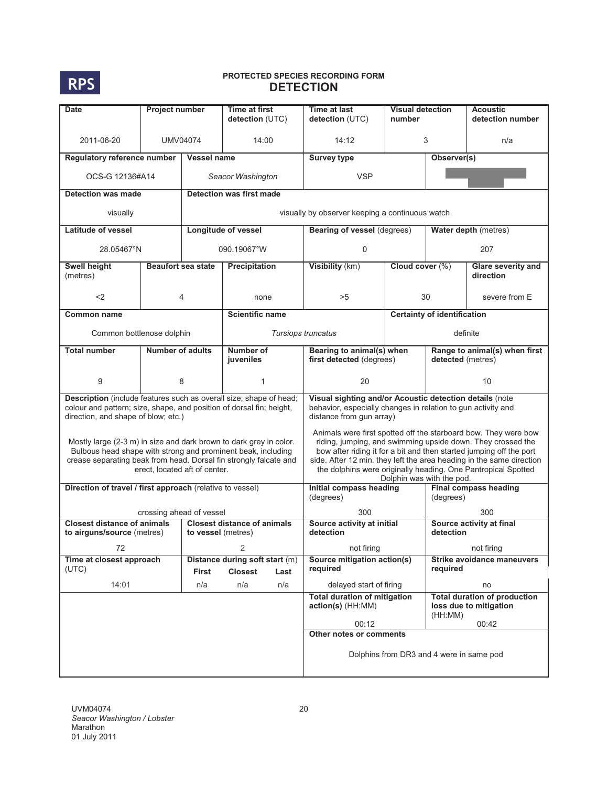

| <b>Date</b>                                                                                                 | Project number                |                           | Time at first<br>detection (UTC)                                                                                                                                                                        | Time at last<br>detection (UTC)                                                                                                                                                                                                                                                                                                                                             | <b>Visual detection</b><br>number                     |                                           | <b>Acoustic</b><br>detection number                           |  |  |
|-------------------------------------------------------------------------------------------------------------|-------------------------------|---------------------------|---------------------------------------------------------------------------------------------------------------------------------------------------------------------------------------------------------|-----------------------------------------------------------------------------------------------------------------------------------------------------------------------------------------------------------------------------------------------------------------------------------------------------------------------------------------------------------------------------|-------------------------------------------------------|-------------------------------------------|---------------------------------------------------------------|--|--|
| 2011-06-20                                                                                                  | <b>UMV04074</b>               |                           | 14:00                                                                                                                                                                                                   | 14:12                                                                                                                                                                                                                                                                                                                                                                       | 3                                                     |                                           | n/a                                                           |  |  |
| Regulatory reference number                                                                                 |                               | <b>Vessel name</b>        |                                                                                                                                                                                                         | <b>Survey type</b>                                                                                                                                                                                                                                                                                                                                                          |                                                       | Observer(s)                               |                                                               |  |  |
| OCS-G 12136#A14                                                                                             |                               |                           | Seacor Washington                                                                                                                                                                                       | <b>VSP</b>                                                                                                                                                                                                                                                                                                                                                                  |                                                       |                                           |                                                               |  |  |
| Detection was made                                                                                          |                               |                           | <b>Detection was first made</b>                                                                                                                                                                         |                                                                                                                                                                                                                                                                                                                                                                             |                                                       |                                           |                                                               |  |  |
| visually                                                                                                    |                               |                           |                                                                                                                                                                                                         | visually by observer keeping a continuous watch                                                                                                                                                                                                                                                                                                                             |                                                       |                                           |                                                               |  |  |
| <b>Latitude of vessel</b>                                                                                   |                               |                           | <b>Longitude of vessel</b>                                                                                                                                                                              | <b>Bearing of vessel (degrees)</b>                                                                                                                                                                                                                                                                                                                                          |                                                       |                                           | Water depth (metres)                                          |  |  |
| 28.05467°N                                                                                                  |                               |                           | 090.19067°W                                                                                                                                                                                             | $\Omega$                                                                                                                                                                                                                                                                                                                                                                    |                                                       |                                           | 207                                                           |  |  |
| Swell height<br>(metres)                                                                                    |                               | <b>Beaufort sea state</b> | Precipitation                                                                                                                                                                                           | Visibility (km)                                                                                                                                                                                                                                                                                                                                                             | Cloud cover (%)                                       |                                           | Glare severity and<br>direction                               |  |  |
| $<$ 2                                                                                                       |                               | 4                         | none                                                                                                                                                                                                    | >5                                                                                                                                                                                                                                                                                                                                                                          |                                                       | 30                                        | severe from E                                                 |  |  |
| <b>Common name</b>                                                                                          |                               |                           | <b>Scientific name</b>                                                                                                                                                                                  |                                                                                                                                                                                                                                                                                                                                                                             |                                                       | <b>Certainty of identification</b>        |                                                               |  |  |
| Common bottlenose dolphin                                                                                   |                               |                           |                                                                                                                                                                                                         | Tursiops truncatus                                                                                                                                                                                                                                                                                                                                                          |                                                       | definite                                  |                                                               |  |  |
| <b>Total number</b>                                                                                         | <b>Number of adults</b>       |                           | Number of<br>juveniles                                                                                                                                                                                  |                                                                                                                                                                                                                                                                                                                                                                             | Bearing to animal(s) when<br>first detected (degrees) |                                           | Range to animal(s) when first<br>detected (metres)            |  |  |
| 9                                                                                                           |                               | 8                         | 1                                                                                                                                                                                                       | 20                                                                                                                                                                                                                                                                                                                                                                          |                                                       |                                           | 10                                                            |  |  |
| colour and pattern; size, shape, and position of dorsal fin; height,<br>direction, and shape of blow, etc.) |                               |                           | Description (include features such as overall size; shape of head;                                                                                                                                      | Visual sighting and/or Acoustic detection details (note<br>behavior, especially changes in relation to gun activity and<br>distance from gun array)                                                                                                                                                                                                                         |                                                       |                                           |                                                               |  |  |
|                                                                                                             | erect, located aft of center. |                           | Mostly large (2-3 m) in size and dark brown to dark grey in color.<br>Bulbous head shape with strong and prominent beak, including<br>crease separating beak from head. Dorsal fin strongly falcate and | Animals were first spotted off the starboard bow. They were bow<br>riding, jumping, and swimming upside down. They crossed the<br>bow after riding it for a bit and then started jumping off the port<br>side. After 12 min. they left the area heading in the same direction<br>the dolphins were originally heading. One Pantropical Spotted<br>Dolphin was with the pod. |                                                       |                                           |                                                               |  |  |
| Direction of travel / first approach (relative to vessel)                                                   |                               |                           |                                                                                                                                                                                                         | Initial compass heading<br>(degrees)                                                                                                                                                                                                                                                                                                                                        |                                                       | <b>Final compass heading</b><br>(degrees) |                                                               |  |  |
|                                                                                                             | crossing ahead of vessel      |                           |                                                                                                                                                                                                         | 300                                                                                                                                                                                                                                                                                                                                                                         |                                                       |                                           | 300                                                           |  |  |
| <b>Closest distance of animals</b><br>to airguns/source (metres)                                            |                               | to vessel (metres)        | <b>Closest distance of animals</b>                                                                                                                                                                      | Source activity at initial<br>detection                                                                                                                                                                                                                                                                                                                                     |                                                       | detection                                 | Source activity at final                                      |  |  |
| 72                                                                                                          |                               |                           |                                                                                                                                                                                                         | not firing                                                                                                                                                                                                                                                                                                                                                                  |                                                       |                                           | not firing                                                    |  |  |
| Time at closest approach<br>(UTC)                                                                           |                               | First                     | Distance during soft start (m)<br><b>Closest</b><br>Last                                                                                                                                                | Source mitigation action(s)<br>required                                                                                                                                                                                                                                                                                                                                     |                                                       | required                                  | <b>Strike avoidance maneuvers</b>                             |  |  |
| 14:01                                                                                                       |                               | n/a                       | n/a<br>n/a                                                                                                                                                                                              | delayed start of firing                                                                                                                                                                                                                                                                                                                                                     |                                                       |                                           | no                                                            |  |  |
|                                                                                                             |                               |                           |                                                                                                                                                                                                         | <b>Total duration of mitigation</b><br>action(s) (HH:MM)                                                                                                                                                                                                                                                                                                                    |                                                       | (HH:MM)                                   | <b>Total duration of production</b><br>loss due to mitigation |  |  |
|                                                                                                             |                               |                           |                                                                                                                                                                                                         | 00:12                                                                                                                                                                                                                                                                                                                                                                       |                                                       |                                           | 00:42                                                         |  |  |
|                                                                                                             |                               |                           |                                                                                                                                                                                                         | Other notes or comments<br>Dolphins from DR3 and 4 were in same pod                                                                                                                                                                                                                                                                                                         |                                                       |                                           |                                                               |  |  |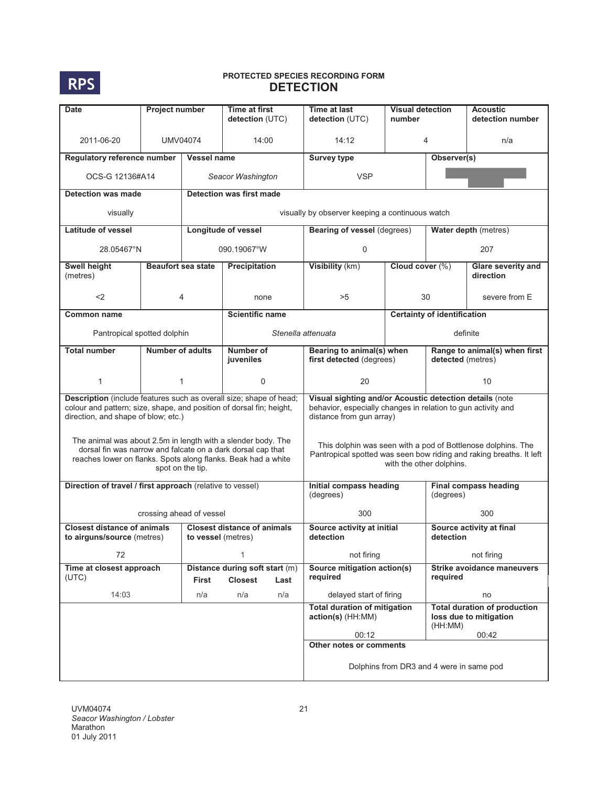

| <b>Date</b>                                                                                                                                                                       | Project number            |                    | Time at first<br>detection (UTC)                                                                                                                                                             | Time at last<br>detection (UTC)                                                                                                                                 | <b>Visual detection</b><br>number        |                                           | <b>Acoustic</b><br>detection number                                    |  |  |
|-----------------------------------------------------------------------------------------------------------------------------------------------------------------------------------|---------------------------|--------------------|----------------------------------------------------------------------------------------------------------------------------------------------------------------------------------------------|-----------------------------------------------------------------------------------------------------------------------------------------------------------------|------------------------------------------|-------------------------------------------|------------------------------------------------------------------------|--|--|
| 2011-06-20                                                                                                                                                                        | UMV04074                  |                    | 14:00                                                                                                                                                                                        | 14:12                                                                                                                                                           | 4                                        |                                           | n/a                                                                    |  |  |
| Regulatory reference number                                                                                                                                                       |                           | Vessel name        |                                                                                                                                                                                              | <b>Survey type</b>                                                                                                                                              |                                          | Observer(s)                               |                                                                        |  |  |
| OCS-G 12136#A14                                                                                                                                                                   |                           |                    | Seacor Washington                                                                                                                                                                            | <b>VSP</b>                                                                                                                                                      |                                          |                                           |                                                                        |  |  |
| Detection was made                                                                                                                                                                |                           |                    | <b>Detection was first made</b>                                                                                                                                                              |                                                                                                                                                                 |                                          |                                           |                                                                        |  |  |
| visually                                                                                                                                                                          |                           |                    |                                                                                                                                                                                              | visually by observer keeping a continuous watch                                                                                                                 |                                          |                                           |                                                                        |  |  |
| <b>Latitude of vessel</b>                                                                                                                                                         |                           |                    | Longitude of vessel                                                                                                                                                                          | Bearing of vessel (degrees)                                                                                                                                     |                                          |                                           | Water depth (metres)                                                   |  |  |
| 28.05467°N                                                                                                                                                                        |                           |                    | 090.19067°W                                                                                                                                                                                  | $\Omega$                                                                                                                                                        |                                          |                                           | 207                                                                    |  |  |
| Swell height<br>(metres)                                                                                                                                                          | <b>Beaufort sea state</b> |                    | Precipitation                                                                                                                                                                                | Visibility (km)                                                                                                                                                 | Cloud cover (%)                          |                                           | Glare severity and<br>direction                                        |  |  |
| $<$ 2                                                                                                                                                                             |                           | 4                  | none                                                                                                                                                                                         | >5                                                                                                                                                              |                                          | 30                                        | severe from E                                                          |  |  |
| <b>Common name</b>                                                                                                                                                                |                           |                    | <b>Scientific name</b>                                                                                                                                                                       |                                                                                                                                                                 | <b>Certainty of identification</b>       |                                           |                                                                        |  |  |
| Pantropical spotted dolphin                                                                                                                                                       |                           |                    |                                                                                                                                                                                              | Stenella attenuata                                                                                                                                              |                                          | definite                                  |                                                                        |  |  |
| <b>Total number</b>                                                                                                                                                               | <b>Number of adults</b>   |                    | Number of<br>juveniles                                                                                                                                                                       | Bearing to animal(s) when<br>first detected (degrees)                                                                                                           |                                          |                                           | Range to animal(s) when first<br>detected (metres)                     |  |  |
| 1                                                                                                                                                                                 |                           | $\mathbf{1}$       | $\Omega$                                                                                                                                                                                     | 20                                                                                                                                                              |                                          | 10                                        |                                                                        |  |  |
| Description (include features such as overall size; shape of head;<br>colour and pattern; size, shape, and position of dorsal fin; height,<br>direction, and shape of blow; etc.) |                           |                    |                                                                                                                                                                                              | Visual sighting and/or Acoustic detection details (note<br>behavior, especially changes in relation to gun activity and<br>distance from gun array)             |                                          |                                           |                                                                        |  |  |
|                                                                                                                                                                                   | spot on the tip.          |                    | The animal was about 2.5m in length with a slender body. The<br>dorsal fin was narrow and falcate on a dark dorsal cap that<br>reaches lower on flanks. Spots along flanks. Beak had a white | This dolphin was seen with a pod of Bottlenose dolphins. The<br>Pantropical spotted was seen bow riding and raking breaths. It left<br>with the other dolphins. |                                          |                                           |                                                                        |  |  |
| Direction of travel / first approach (relative to vessel)                                                                                                                         |                           |                    |                                                                                                                                                                                              | Initial compass heading<br>(degrees)                                                                                                                            |                                          | <b>Final compass heading</b><br>(degrees) |                                                                        |  |  |
|                                                                                                                                                                                   | crossing ahead of vessel  |                    |                                                                                                                                                                                              | 300                                                                                                                                                             |                                          |                                           | 300                                                                    |  |  |
| <b>Closest distance of animals</b><br>to airguns/source (metres)                                                                                                                  |                           | to vessel (metres) | <b>Closest distance of animals</b>                                                                                                                                                           | Source activity at initial<br>detection                                                                                                                         |                                          | Source activity at final<br>detection     |                                                                        |  |  |
| 72                                                                                                                                                                                |                           |                    | 1                                                                                                                                                                                            | not firing                                                                                                                                                      |                                          |                                           | not firing                                                             |  |  |
| Time at closest approach<br>(UTC)                                                                                                                                                 |                           | First              | Distance during soft start (m)<br><b>Closest</b><br>Last                                                                                                                                     | Source mitigation action(s)<br>required                                                                                                                         |                                          | required                                  | <b>Strike avoidance maneuvers</b>                                      |  |  |
| 14:03                                                                                                                                                                             |                           | n/a                | n/a<br>n/a                                                                                                                                                                                   | delayed start of firing                                                                                                                                         |                                          |                                           | no                                                                     |  |  |
|                                                                                                                                                                                   |                           |                    |                                                                                                                                                                                              | <b>Total duration of mitigation</b><br>action(s) (HH:MM)<br>00:12                                                                                               |                                          | (HH:MM)                                   | <b>Total duration of production</b><br>loss due to mitigation<br>00:42 |  |  |
|                                                                                                                                                                                   |                           |                    |                                                                                                                                                                                              | Other notes or comments                                                                                                                                         |                                          |                                           |                                                                        |  |  |
|                                                                                                                                                                                   |                           |                    |                                                                                                                                                                                              |                                                                                                                                                                 | Dolphins from DR3 and 4 were in same pod |                                           |                                                                        |  |  |